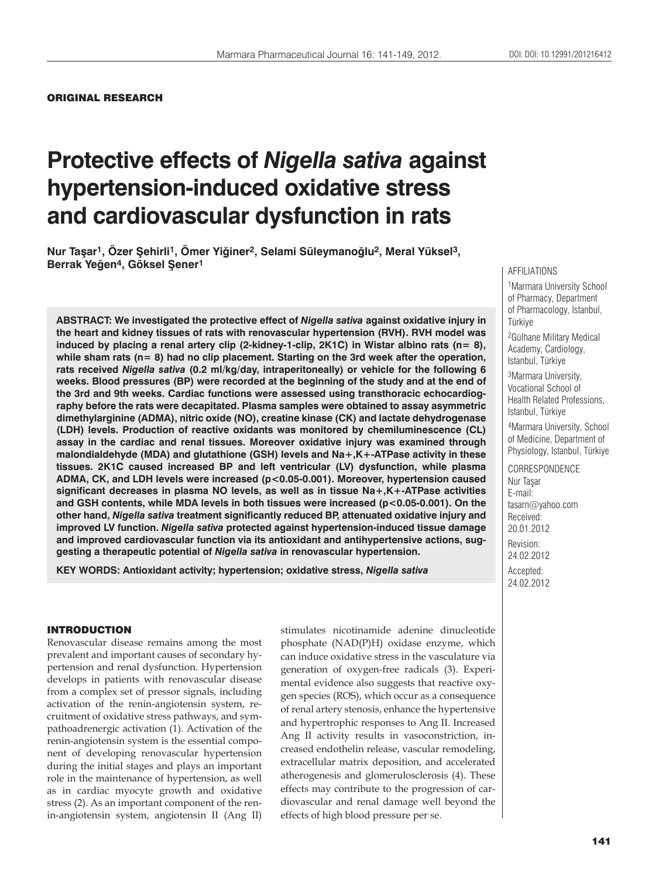# **Protective effects of** *Nigella sativa* **against hypertension-induced oxidative stress and cardiovascular dysfunction in rats**

**Nur Taşar1, Özer Şehirli1, Ömer Yiğiner2, Selami Süleymanoğlu2, Meral Yüksel3, Berrak Yeğen4, Göksel Şener1**

**ABSTRACT: We investigated the protective effect of** *Nigella sativa* **against oxidative injury in the heart and kidney tissues of rats with renovascular hypertension (RVH). RVH model was induced by placing a renal artery clip (2-kidney-1-clip, 2K1C) in Wistar albino rats (n= 8), while sham rats (n= 8) had no clip placement. Starting on the 3rd week after the operation, rats received** *Nigella sativa* **(0.2 ml/kg/day, intraperitoneally) or vehicle for the following 6 weeks. Blood pressures (BP) were recorded at the beginning of the study and at the end of the 3rd and 9th weeks. Cardiac functions were assessed using transthoracic echocardiography before the rats were decapitated. Plasma samples were obtained to assay asymmetric dimethylarginine (ADMA), nitric oxide (NO), creatine kinase (CK) and lactate dehydrogenase (LDH) levels. Production of reactive oxidants was monitored by chemiluminescence (CL) assay in the cardiac and renal tissues. Moreover oxidative injury was examined through malondialdehyde (MDA) and glutathione (GSH) levels and Na+,K+-ATPase activity in these tissues. 2K1C caused increased BP and left ventricular (LV) dysfunction, while plasma ADMA, CK, and LDH levels were increased (p<0.05-0.001). Moreover, hypertension caused significant decreases in plasma NO levels, as well as in tissue Na+,K+-ATPase activities and GSH contents, while MDA levels in both tissues were increased (p<0.05-0.001). On the other hand,** *Nigella sativa* **treatment significantly reduced BP, attenuated oxidative injury and improved LV function.** *Nigella sativa* **protected against hypertension-induced tissue damage and improved cardiovascular function via its antioxidant and antihypertensive actions, suggesting a therapeutic potential of** *Nigella sativa* **in renovascular hypertension.**

**KEY WORDS: Antioxidant activity; hypertension; oxidative stress,** *Nigella sativa*

#### AFFILIATIONS

1Marmara University School of Pharmacy, Department of Pharmacology, Istanbul, **Türkive** 

2Gülhane Military Medical Academy, Cardiology, Istanbul, Türkiye

3Marmara University, Vocational School of Health Related Professions, Istanbul, Türkiye

4Marmara University, School of Medicine, Department of Physiology, Istanbul, Türkiye

**CORRESPONDENCE** Nur Taşar E-mail: tasarn@yahoo.com Received: 20.01.2012 Revision: 24.02.2012 Accepted: 24.02.2012

#### INTRODUCTION

Renovascular disease remains among the most prevalent and important causes of secondary hypertension and renal dysfunction. Hypertension develops in patients with renovascular disease from a complex set of pressor signals, including activation of the renin-angiotensin system, recruitment of oxidative stress pathways, and sympathoadrenergic activation (1). Activation of the renin-angiotensin system is the essential component of developing renovascular hypertension during the initial stages and plays an important role in the maintenance of hypertension, as well as in cardiac myocyte growth and oxidative stress (2). As an important component of the renin-angiotensin system, angiotensin II (Ang II)

stimulates nicotinamide adenine dinucleotide phosphate (NAD(P)H) oxidase enzyme, which can induce oxidative stress in the vasculature via generation of oxygen-free radicals (3). Experimental evidence also suggests that reactive oxygen species (ROS), which occur as a consequence of renal artery stenosis, enhance the hypertensive and hypertrophic responses to Ang II. Increased Ang II activity results in vasoconstriction, increased endothelin release, vascular remodeling, extracellular matrix deposition, and accelerated atherogenesis and glomerulosclerosis (4). These effects may contribute to the progression of cardiovascular and renal damage well beyond the effects of high blood pressure per se.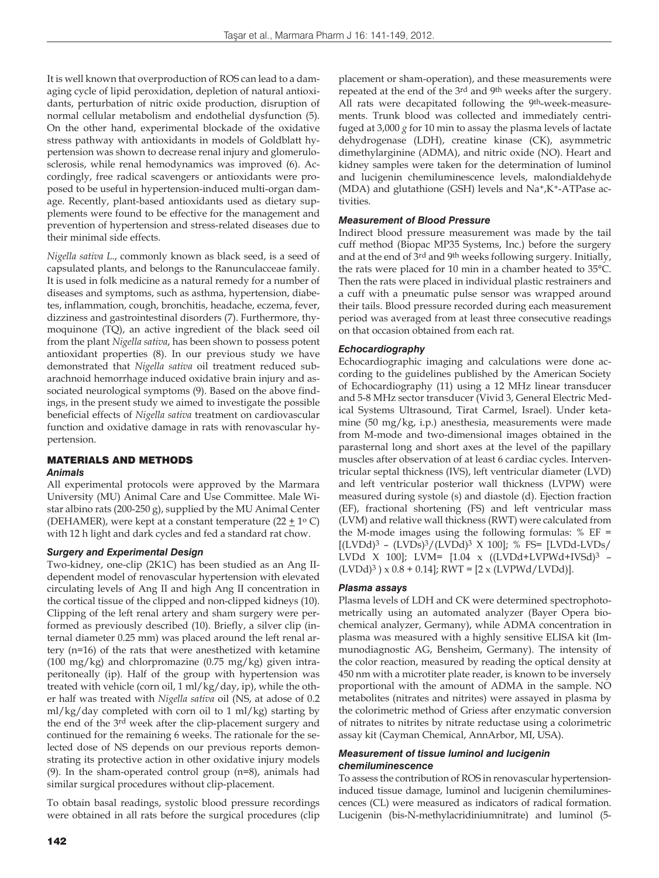It is well known that overproduction of ROS can lead to a damaging cycle of lipid peroxidation, depletion of natural antioxidants, perturbation of nitric oxide production, disruption of normal cellular metabolism and endothelial dysfunction (5). On the other hand, experimental blockade of the oxidative stress pathway with antioxidants in models of Goldblatt hypertension was shown to decrease renal injury and glomerulosclerosis, while renal hemodynamics was improved (6). Accordingly, free radical scavengers or antioxidants were proposed to be useful in hypertension-induced multi-organ damage. Recently, plant-based antioxidants used as dietary supplements were found to be effective for the management and prevention of hypertension and stress-related diseases due to their minimal side effects.

*Nigella sativa L*., commonly known as black seed, is a seed of capsulated plants, and belongs to the Ranunculacceae family. It is used in folk medicine as a natural remedy for a number of diseases and symptoms, such as asthma, hypertension, diabetes, inflammation, cough, bronchitis, headache, eczema, fever, dizziness and gastrointestinal disorders (7). Furthermore, thymoquinone (TQ), an active ingredient of the black seed oil from the plant *Nigella sativa*, has been shown to possess potent antioxidant properties (8). In our previous study we have demonstrated that *Nigella sativa* oil treatment reduced subarachnoid hemorrhage induced oxidative brain injury and associated neurological symptoms (9). Based on the above findings, in the present study we aimed to investigate the possible beneficial effects of *Nigella sativa* treatment on cardiovascular function and oxidative damage in rats with renovascular hypertension.

# MATERIALS AND METHODS

## *Animals*

All experimental protocols were approved by the Marmara University (MU) Animal Care and Use Committee. Male Wistar albino rats (200-250 g), supplied by the MU Animal Center (DEHAMER), were kept at a constant temperature  $(22 \pm 1^{\circ} \text{ C})$ with 12 h light and dark cycles and fed a standard rat chow.

## *Surgery and Experimental Design*

Two-kidney, one-clip (2K1C) has been studied as an Ang IIdependent model of renovascular hypertension with elevated circulating levels of Ang II and high Ang II concentration in the cortical tissue of the clipped and non-clipped kidneys (10). Clipping of the left renal artery and sham surgery were performed as previously described (10). Briefly, a silver clip (internal diameter 0.25 mm) was placed around the left renal artery (n=16) of the rats that were anesthetized with ketamine (100 mg/kg) and chlorpromazine (0.75 mg/kg) given intraperitoneally (ip). Half of the group with hypertension was treated with vehicle (corn oil, 1 ml/kg/day, ip), while the other half was treated with *Nigella sativa* oil (NS, at adose of 0.2 ml/kg/day completed with corn oil to 1 ml/kg) starting by the end of the 3rd week after the clip-placement surgery and continued for the remaining 6 weeks. The rationale for the selected dose of NS depends on our previous reports demonstrating its protective action in other oxidative injury models (9). In the sham-operated control group (n=8), animals had similar surgical procedures without clip-placement.

To obtain basal readings, systolic blood pressure recordings were obtained in all rats before the surgical procedures (clip placement or sham-operation), and these measurements were repeated at the end of the 3rd and 9th weeks after the surgery. All rats were decapitated following the 9<sup>th</sup>-week-measurements. Trunk blood was collected and immediately centrifuged at 3,000 *g* for 10 min to assay the plasma levels of lactate dehydrogenase (LDH), creatine kinase (CK), asymmetric dimethylarginine (ADMA), and nitric oxide (NO). Heart and kidney samples were taken for the determination of luminol and lucigenin chemiluminescence levels, malondialdehyde (MDA) and glutathione (GSH) levels and Na+,K+-ATPase activities.

## *Measurement of Blood Pressure*

Indirect blood pressure measurement was made by the tail cuff method (Biopac MP35 Systems, Inc.) before the surgery and at the end of 3rd and 9th weeks following surgery. Initially, the rats were placed for 10 min in a chamber heated to 35°C. Then the rats were placed in individual plastic restrainers and a cuff with a pneumatic pulse sensor was wrapped around their tails. Blood pressure recorded during each measurement period was averaged from at least three consecutive readings on that occasion obtained from each rat.

# *Echocardiography*

Echocardiographic imaging and calculations were done according to the guidelines published by the American Society of Echocardiography (11) using a 12 MHz linear transducer and 5-8 MHz sector transducer (Vivid 3, General Electric Medical Systems Ultrasound, Tirat Carmel, Israel). Under ketamine (50 mg/kg, i.p.) anesthesia, measurements were made from M-mode and two-dimensional images obtained in the parasternal long and short axes at the level of the papillary muscles after observation of at least 6 cardiac cycles. Interventricular septal thickness (IVS), left ventricular diameter (LVD) and left ventricular posterior wall thickness (LVPW) were measured during systole (s) and diastole (d). Ejection fraction (EF), fractional shortening (FS) and left ventricular mass (LVM) and relative wall thickness (RWT) were calculated from the M-mode images using the following formulas:  $% EF =$  $[(LVDd)^3 - (LVDs)^3/(LVDd)^3 \times 100]$ ; % FS=  $[LVDd-LVDs/$ LVDd X 100]; LVM= [1.04 x ((LVDd+LVPWd+IVSd)3 –  $(LVDd)^3$ ) x 0.8 + 0.14]; RWT = [2 x (LVPWd/LVDd)].

## *Plasma assays*

Plasma levels of LDH and CK were determined spectrophotometrically using an automated analyzer (Bayer Opera biochemical analyzer, Germany), while ADMA concentration in plasma was measured with a highly sensitive ELISA kit (Immunodiagnostic AG, Bensheim, Germany). The intensity of the color reaction, measured by reading the optical density at 450 nm with a microtiter plate reader, is known to be inversely proportional with the amount of ADMA in the sample. NO metabolites (nitrates and nitrites) were assayed in plasma by the colorimetric method of Griess after enzymatic conversion of nitrates to nitrites by nitrate reductase using a colorimetric assay kit (Cayman Chemical, AnnArbor, MI, USA).

#### *Measurement of tissue luminol and lucigenin chemiluminescence*

To assess the contribution of ROS in renovascular hypertensioninduced tissue damage, luminol and lucigenin chemiluminescences (CL) were measured as indicators of radical formation. Lucigenin (bis-N-methylacridiniumnitrate) and luminol (5-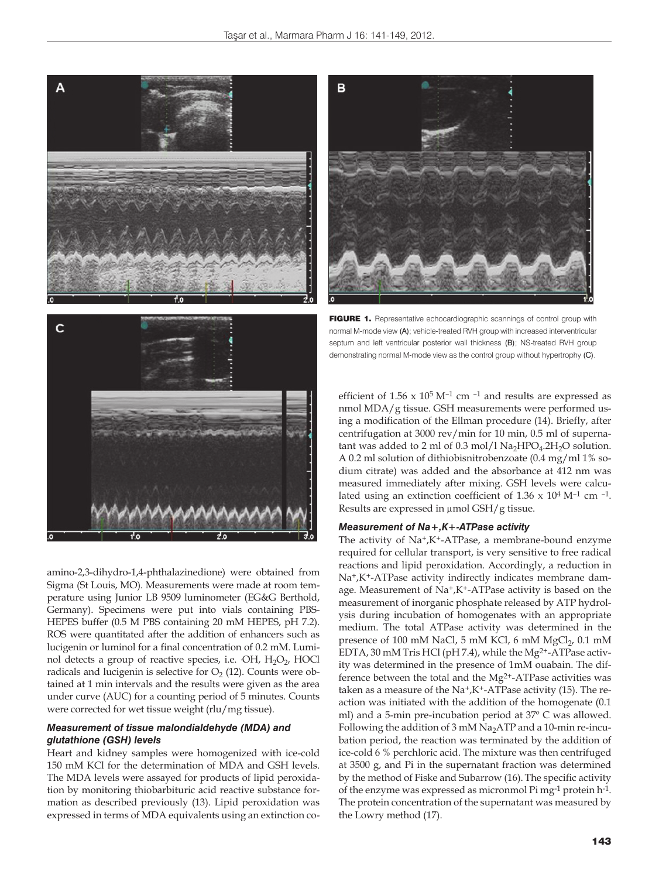



amino-2,3-dihydro-1,4-phthalazinedione) were obtained from Sigma (St Louis, MO). Measurements were made at room temperature using Junior LB 9509 luminometer (EG&G Berthold, Germany). Specimens were put into vials containing PBS-HEPES buffer (0.5 M PBS containing 20 mM HEPES, pH 7.2). ROS were quantitated after the addition of enhancers such as lucigenin or luminol for a final concentration of 0.2 mM. Luminol detects a group of reactive species, i.e. OH, H<sub>2</sub>O<sub>2</sub>, HOCl radicals and lucigenin is selective for  $O_2$  (12). Counts were obtained at 1 min intervals and the results were given as the area under curve (AUC) for a counting period of 5 minutes. Counts were corrected for wet tissue weight (rlu/mg tissue).

#### *Measurement of tissue malondialdehyde (MDA) and glutathione (GSH) levels*

Heart and kidney samples were homogenized with ice-cold 150 mM KCl for the determination of MDA and GSH levels. The MDA levels were assayed for products of lipid peroxidation by monitoring thiobarbituric acid reactive substance formation as described previously (13). Lipid peroxidation was expressed in terms of MDA equivalents using an extinction co-

FIGURE 1. Representative echocardiographic scannings of control group with normal M-mode view (A); vehicle-treated RVH group with increased interventricular septum and left ventricular posterior wall thickness (B); NS-treated RVH group demonstrating normal M-mode view as the control group without hypertrophy (C).

efficient of  $1.56 \times 10^5$  M<sup>-1</sup> cm<sup>-1</sup> and results are expressed as nmol MDA/g tissue. GSH measurements were performed using a modification of the Ellman procedure (14). Briefly, after centrifugation at 3000 rev/min for 10 min, 0.5 ml of supernatant was added to 2 ml of 0.3 mol/l  $\text{Na}_2\text{HPO}_4.2\text{H}_2\text{O}$  solution. A 0.2 ml solution of dithiobisnitrobenzoate (0.4 mg/ml 1% sodium citrate) was added and the absorbance at 412 nm was measured immediately after mixing. GSH levels were calculated using an extinction coefficient of  $1.36 \times 10^4$  M<sup>-1</sup> cm <sup>-1</sup>. Results are expressed in μmol GSH/g tissue.

#### *Measurement of Na+,K+-ATPase activity*

The activity of Na+,K+-ATPase, a membrane-bound enzyme required for cellular transport, is very sensitive to free radical reactions and lipid peroxidation. Accordingly, a reduction in Na+,K+-ATPase activity indirectly indicates membrane damage. Measurement of Na+,K+-ATPase activity is based on the measurement of inorganic phosphate released by ATP hydrolysis during incubation of homogenates with an appropriate medium. The total ATPase activity was determined in the presence of 100 mM NaCl, 5 mM KCl, 6 mM MgCl<sub>2</sub>, 0.1 mM EDTA, 30 mM Tris HCl (pH 7.4), while the Mg2+-ATPase activity was determined in the presence of 1mM ouabain. The difference between the total and the Mg2+-ATPase activities was taken as a measure of the  $Na^+$ ,  $K^+$ -ATPase activity (15). The reaction was initiated with the addition of the homogenate (0.1 ml) and a 5-min pre-incubation period at 37º C was allowed. Following the addition of  $3 \text{ mM Na}_2$ ATP and a 10-min re-incubation period, the reaction was terminated by the addition of ice-cold 6 % perchloric acid. The mixture was then centrifuged at 3500 g, and Pi in the supernatant fraction was determined by the method of Fiske and Subarrow (16). The specific activity of the enzyme was expressed as micronmol Pi mg-1 protein h-1. The protein concentration of the supernatant was measured by the Lowry method (17).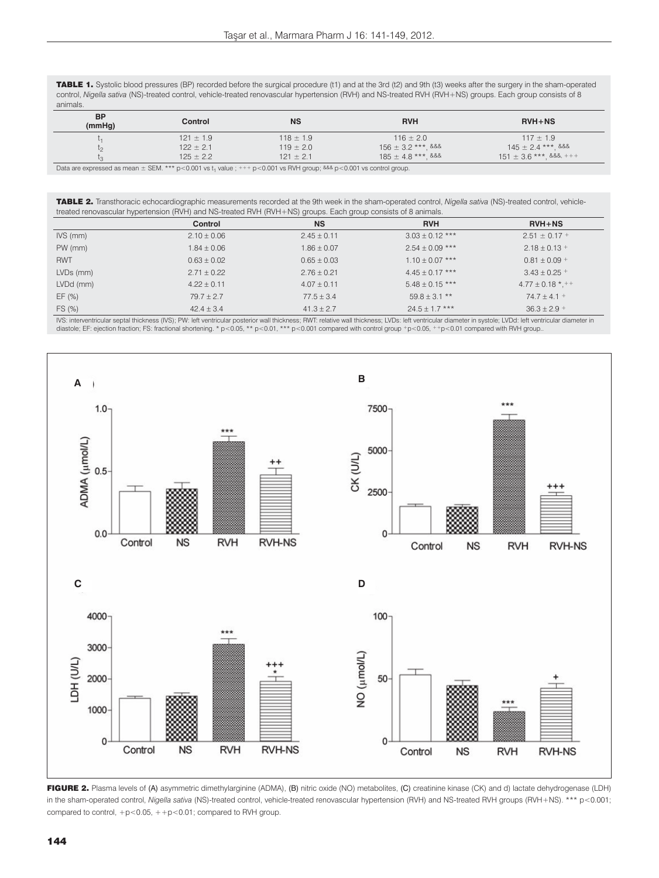TABLE 1. Systolic blood pressures (BP) recorded before the surgical procedure (t1) and at the 3rd (t2) and 9th (t3) weeks after the surgery in the sham-operated control, *Nigella sativa* (NS)-treated control, vehicle-treated renovascular hypertension (RVH) and NS-treated RVH (RVH+NS) groups. Each group consists of 8 animals.

| <b>BP</b><br>(mmHq) | Control                                                                                                       | <b>NS</b>     | <b>RVH</b>             | $RVH + NS$                  |
|---------------------|---------------------------------------------------------------------------------------------------------------|---------------|------------------------|-----------------------------|
|                     | $121 \pm 1.9$                                                                                                 | $118 \pm 1.9$ | $116 \pm 2.0$          | $117 \pm 1.9$               |
| ιo                  | $122 \pm 2.1$                                                                                                 | $119 \pm 2.0$ | $156 \pm 3.2$ ***. &&& | $145 \pm 2.4$ ***. &&&      |
|                     | $125 \pm 2.2$                                                                                                 | $121 \pm 2.1$ | $185 \pm 4.8$ *** &&&  | $151 \pm 3.6$ ***, &&&, +++ |
|                     | Determination and control of DEM 444 and ON4 and Colorador and Andrea DMI care 222 and ON4 are control and an |               |                        |                             |

rd as mean  $\pm$  SEM. \*\*\* p<0.001 vs t<sub>1</sub> value ; +++ p<0.001 vs RVH group; <sup>&&&</sup> p<0.001 vs control group

TABLE 2. Transthoracic echocardiographic measurements recorded at the 9th week in the sham-operated control, *Nigella sativa* (NS)-treated control, vehicletreated renovascular hypertension (RVH) and NS-treated RVH (RVH+NS) groups. Each group consists of 8 animals.

|            | Control         | <b>NS</b>      | <b>RVH</b>        | $RVH + NS$              |
|------------|-----------------|----------------|-------------------|-------------------------|
| $IVS$ (mm) | $2.10 \pm 0.06$ | $2.45 + 0.11$  | $3.03 + 0.12$ *** | $2.51 \pm 0.17 +$       |
| $PW$ (mm)  | $1.84 \pm 0.06$ | $1.86 + 0.07$  | $2.54 + 0.09$ *** | $2.18 + 0.13 +$         |
| <b>RWT</b> | $0.63 \pm 0.02$ | $0.65 + 0.03$  | $1.10 + 0.07$ *** | $0.81 + 0.09 +$         |
| LVDs (mm)  | $2.71 + 0.22$   | $2.76 + 0.21$  | $4.45 + 0.17$ *** | $3.43 + 0.25 +$         |
| LVDd (mm)  | $4.22 + 0.11$   | $4.07 + 0.11$  | $5.48 + 0.15$ *** | $4.77 \pm 0.18$ * . + + |
| EF(%)      | $79.7 + 2.7$    | $77.5 \pm 3.4$ | $59.8 + 3.1$ **   | $74.7 + 4.1 +$          |
| FS (%)     | $42.4 + 3.4$    | $41.3 \pm 2.7$ | $24.5 + 1.7$ ***  | $36.3 + 2.9 +$          |

IVS: interventricular septal thickness (IVS); PW: left ventricular posterior wall thickness; RWT: relative wall thickness; LVDs: left ventricular diameter in systole; LVDd: left ventricular diameter in<br>diastole; EF: eject



FIGURE 2. Plasma levels of (A) asymmetric dimethylarginine (ADMA), (B) nitric oxide (NO) metabolites, (C) creatinine kinase (CK) and d) lactate dehydrogenase (LDH) in the sham-operated control, *Nigella sativa* (NS)-treated control, vehicle-treated renovascular hypertension (RVH) and NS-treated RVH groups (RVH+NS). \*\*\* p<0.001; compared to control,  $+p<0.05$ ,  $++p<0.01$ ; compared to RVH group.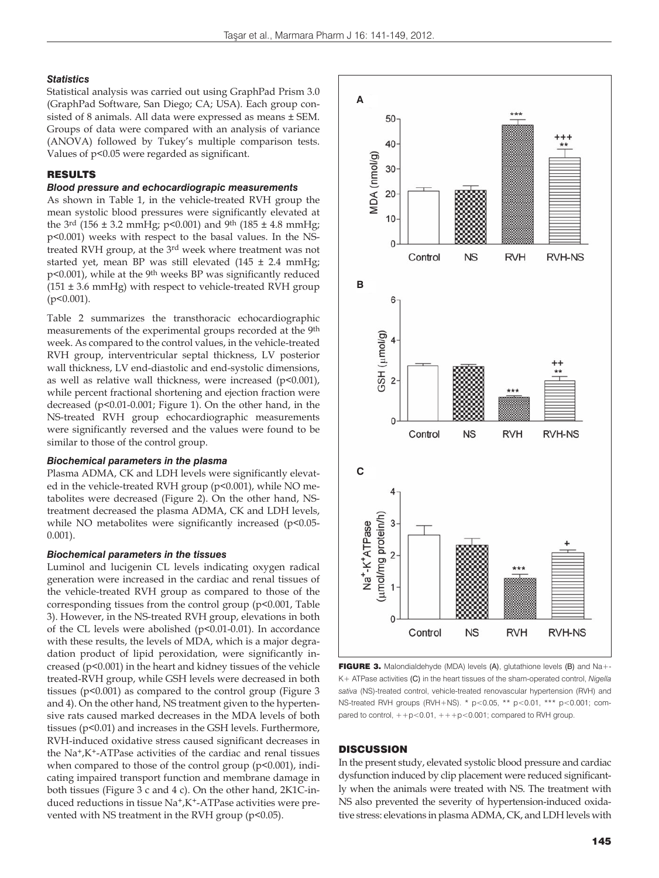#### *Statistics*

Statistical analysis was carried out using GraphPad Prism 3.0 (GraphPad Software, San Diego; CA; USA). Each group consisted of 8 animals. All data were expressed as means ± SEM. Groups of data were compared with an analysis of variance (ANOVA) followed by Tukey's multiple comparison tests. Values of p<0.05 were regarded as significant.

# RESULTS

## *Blood pressure and echocardiograpic measurements*

As shown in Table 1, in the vehicle-treated RVH group the mean systolic blood pressures were significantly elevated at the 3<sup>rd</sup> (156 ± 3.2 mmHg; p<0.001) and 9<sup>th</sup> (185 ± 4.8 mmHg; p<0.001) weeks with respect to the basal values. In the NStreated RVH group, at the 3rd week where treatment was not started yet, mean BP was still elevated (145  $\pm$  2.4 mmHg; p<0.001), while at the 9th weeks BP was significantly reduced  $(151 \pm 3.6 \text{ mmHg})$  with respect to vehicle-treated RVH group (p<0.001).

Table 2 summarizes the transthoracic echocardiographic measurements of the experimental groups recorded at the 9th week. As compared to the control values, in the vehicle-treated RVH group, interventricular septal thickness, LV posterior wall thickness, LV end-diastolic and end-systolic dimensions, as well as relative wall thickness, were increased  $(p<0.001)$ , while percent fractional shortening and ejection fraction were decreased (p<0.01-0.001; Figure 1). On the other hand, in the NS-treated RVH group echocardiographic measurements were significantly reversed and the values were found to be similar to those of the control group.

#### *Biochemical parameters in the plasma*

Plasma ADMA, CK and LDH levels were significantly elevated in the vehicle-treated RVH group (p<0.001), while NO metabolites were decreased (Figure 2). On the other hand, NStreatment decreased the plasma ADMA, CK and LDH levels, while NO metabolites were significantly increased (p<0.05-0.001).

#### *Biochemical parameters in the tissues*

Luminol and lucigenin CL levels indicating oxygen radical generation were increased in the cardiac and renal tissues of the vehicle-treated RVH group as compared to those of the corresponding tissues from the control group (p<0.001, Table 3). However, in the NS-treated RVH group, elevations in both of the CL levels were abolished (p<0.01-0.01). In accordance with these results, the levels of MDA, which is a major degradation product of lipid peroxidation, were significantly increased (p<0.001) in the heart and kidney tissues of the vehicle treated-RVH group, while GSH levels were decreased in both tissues (p<0.001) as compared to the control group (Figure 3 and 4). On the other hand, NS treatment given to the hypertensive rats caused marked decreases in the MDA levels of both tissues (p<0.01) and increases in the GSH levels. Furthermore, RVH-induced oxidative stress caused significant decreases in the Na+,K+-ATPase activities of the cardiac and renal tissues when compared to those of the control group (p<0.001), indicating impaired transport function and membrane damage in both tissues (Figure 3 c and 4 c). On the other hand, 2K1C-induced reductions in tissue Na+,K+-ATPase activities were prevented with NS treatment in the RVH group ( $p$ <0.05).



FIGURE 3. Malondialdehyde (MDA) levels (A), glutathione levels (B) and Na+-K+ ATPase activities (C) in the heart tissues of the sham-operated control, *Nigella sativa* (NS)-treated control, vehicle-treated renovascular hypertension (RVH) and NS-treated RVH groups (RVH+NS). \* p<0.05, \*\* p<0.01, \*\*\* p<0.001; compared to control,  $++p<0.01$ ,  $+++p<0.001$ ; compared to RVH group.

#### **DISCUSSION**

In the present study, elevated systolic blood pressure and cardiac dysfunction induced by clip placement were reduced significantly when the animals were treated with NS. The treatment with NS also prevented the severity of hypertension-induced oxidative stress: elevations in plasma ADMA, CK, and LDH levels with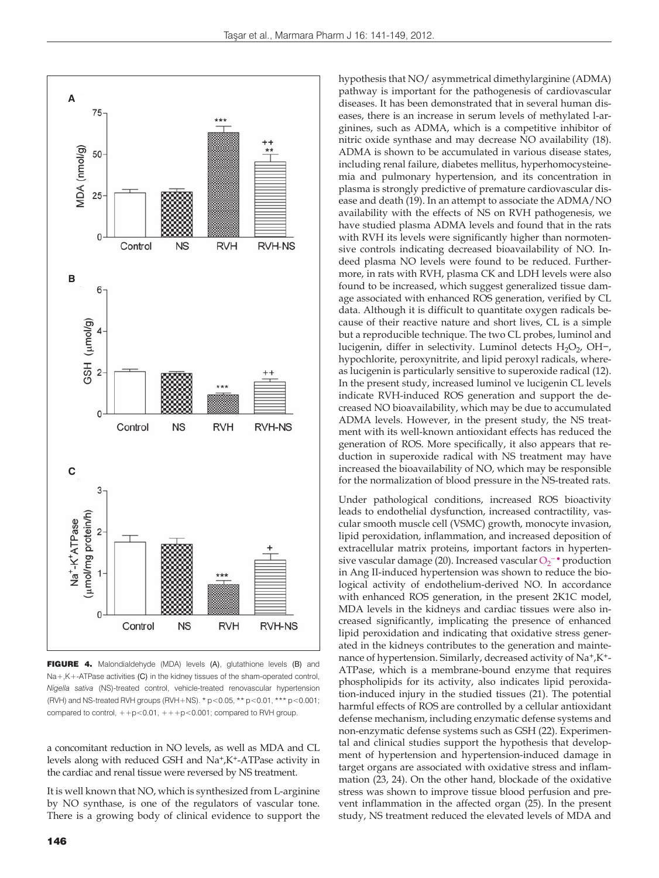

FIGURE 4. Malondialdehyde (MDA) levels (A), glutathione levels (B) and Na+,K+-ATPase activities (C) in the kidney tissues of the sham-operated control, *Nigella sativa* (NS)-treated control, vehicle-treated renovascular hypertension (RVH) and NS-treated RVH groups (RVH+NS).  $*$  p<0.05,  $*$  $*$  p<0.01,  $*$  $*$  $*$  p<0.001; compared to control,  $++p<0.01$ ,  $+++p<0.001$ ; compared to RVH group.

a concomitant reduction in NO levels, as well as MDA and CL levels along with reduced GSH and Na+,K+-ATPase activity in the cardiac and renal tissue were reversed by NS treatment.

It is well known that NO, which is synthesized from L-arginine by NO synthase, is one of the regulators of vascular tone. There is a growing body of clinical evidence to support the

pathway is important for the pathogenesis of cardiovascular diseases. It has been demonstrated that in several human diseases, there is an increase in serum levels of methylated l-arginines, such as ADMA, which is a competitive inhibitor of nitric oxide synthase and may decrease NO availability (18). ADMA is shown to be accumulated in various disease states, including renal failure, diabetes mellitus, hyperhomocysteinemia and pulmonary hypertension, and its concentration in plasma is strongly predictive of premature cardiovascular disease and death (19). In an attempt to associate the ADMA/NO availability with the effects of NS on RVH pathogenesis, we have studied plasma ADMA levels and found that in the rats with RVH its levels were significantly higher than normotensive controls indicating decreased bioavailability of NO. Indeed plasma NO levels were found to be reduced. Furthermore, in rats with RVH, plasma CK and LDH levels were also found to be increased, which suggest generalized tissue damage associated with enhanced ROS generation, verified by CL data. Although it is difficult to quantitate oxygen radicals because of their reactive nature and short lives, CL is a simple but a reproducible technique. The two CL probes, luminol and lucigenin, differ in selectivity. Luminol detects  $H_2O_2$ , OH−, hypochlorite, peroxynitrite, and lipid peroxyl radicals, whereas lucigenin is particularly sensitive to superoxide radical (12). In the present study, increased luminol ve lucigenin CL levels indicate RVH-induced ROS generation and support the decreased NO bioavailability, which may be due to accumulated ADMA levels. However, in the present study, the NS treatment with its well-known antioxidant effects has reduced the generation of ROS. More specifically, it also appears that reduction in superoxide radical with NS treatment may have increased the bioavailability of NO, which may be responsible for the normalization of blood pressure in the NS-treated rats.

hypothesis that NO/ asymmetrical dimethylarginine (ADMA)

Under pathological conditions, increased ROS bioactivity leads to endothelial dysfunction, increased contractility, vascular smooth muscle cell (VSMC) growth, monocyte invasion, lipid peroxidation, inflammation, and increased deposition of extracellular matrix proteins, important factors in hypertensive vascular damage (20). Increased vascular  $O_2$ <sup>-•</sup> production in Ang II-induced hypertension was shown to reduce the biological activity of endothelium-derived NO. In accordance with enhanced ROS generation, in the present 2K1C model, MDA levels in the kidneys and cardiac tissues were also increased significantly, implicating the presence of enhanced lipid peroxidation and indicating that oxidative stress generated in the kidneys contributes to the generation and maintenance of hypertension. Similarly, decreased activity of Na+,K+- ATPase, which is a membrane-bound enzyme that requires phospholipids for its activity, also indicates lipid peroxidation-induced injury in the studied tissues (21). The potential harmful effects of ROS are controlled by a cellular antioxidant defense mechanism, including enzymatic defense systems and non-enzymatic defense systems such as GSH (22). Experimental and clinical studies support the hypothesis that development of hypertension and hypertension-induced damage in target organs are associated with oxidative stress and inflammation (23, 24). On the other hand, blockade of the oxidative stress was shown to improve tissue blood perfusion and prevent inflammation in the affected organ (25). In the present study, NS treatment reduced the elevated levels of MDA and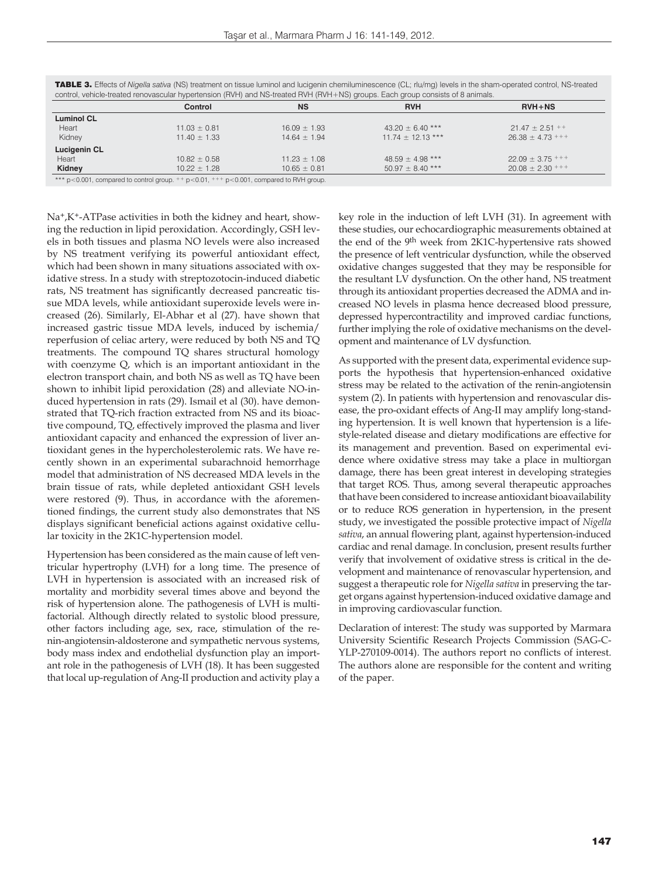|                   | Control          | <b>NS</b>        | <b>RVH</b>            | $RVH + NS$           |
|-------------------|------------------|------------------|-----------------------|----------------------|
| <b>Luminol CL</b> |                  |                  |                       |                      |
| Heart             | $11.03 \pm 0.81$ | $16.09 \pm 1.93$ | $43.20 \pm 6.40$ ***  | $21.47 \pm 2.51$ ++  |
| Kidney            | $11.40 \pm 1.33$ | $14.64 \pm 1.94$ | $11.74 \pm 12.13$ *** | $26.38 \pm 4.73$ +++ |
| Lucigenin CL      |                  |                  |                       |                      |
| Heart             | $10.82 \pm 0.58$ | $11.23 \pm 1.08$ | $48.59 \pm 4.98$ ***  | $22.09 \pm 3.75$ +++ |
| Kidney            | $10.22 \pm 1.28$ | $10.65 \pm 0.81$ | $50.97 \pm 8.40$ ***  | $20.08 \pm 2.30$ +++ |
|                   |                  |                  |                       |                      |

TABLE 3. Effects of *Nigella sativa* (NS) treatment on tissue luminol and lucigenin chemiluminescence (CL; rlu/mg) levels in the sham-operated control, NS-treated

 $*$  p<0.001, compared to control group.  $**$  p<0.01,  $***$  p<0.001, compared to RVH group

Na+,K+-ATPase activities in both the kidney and heart, showing the reduction in lipid peroxidation. Accordingly, GSH levels in both tissues and plasma NO levels were also increased by NS treatment verifying its powerful antioxidant effect, which had been shown in many situations associated with oxidative stress. In a study with streptozotocin-induced diabetic rats, NS treatment has significantly decreased pancreatic tissue MDA levels, while antioxidant superoxide levels were increased (26). Similarly, El-Abhar et al (27). have shown that increased gastric tissue MDA levels, induced by ischemia/ reperfusion of celiac artery, were reduced by both NS and TQ treatments. The compound TQ shares structural homology with coenzyme Q, which is an important antioxidant in the electron transport chain, and both NS as well as TQ have been shown to inhibit lipid peroxidation (28) and alleviate NO-induced hypertension in rats (29). Ismail et al (30). have demonstrated that TQ-rich fraction extracted from NS and its bioactive compound, TQ, effectively improved the plasma and liver antioxidant capacity and enhanced the expression of liver antioxidant genes in the hypercholesterolemic rats. We have recently shown in an experimental subarachnoid hemorrhage model that administration of NS decreased MDA levels in the brain tissue of rats, while depleted antioxidant GSH levels were restored (9). Thus, in accordance with the aforementioned findings, the current study also demonstrates that NS displays significant beneficial actions against oxidative cellular toxicity in the 2K1C-hypertension model.

Hypertension has been considered as the main cause of left ventricular hypertrophy (LVH) for a long time. The presence of LVH in hypertension is associated with an increased risk of mortality and morbidity several times above and beyond the risk of hypertension alone. The pathogenesis of LVH is multifactorial. Although directly related to systolic blood pressure, other factors including age, sex, race, stimulation of the renin-angiotensin-aldosterone and sympathetic nervous systems, body mass index and endothelial dysfunction play an important role in the pathogenesis of LVH (18). It has been suggested that local up-regulation of Ang-II production and activity play a key role in the induction of left LVH (31). In agreement with these studies, our echocardiographic measurements obtained at the end of the 9th week from 2K1C-hypertensive rats showed the presence of left ventricular dysfunction, while the observed oxidative changes suggested that they may be responsible for the resultant LV dysfunction. On the other hand, NS treatment through its antioxidant properties decreased the ADMA and increased NO levels in plasma hence decreased blood pressure, depressed hypercontractility and improved cardiac functions, further implying the role of oxidative mechanisms on the development and maintenance of LV dysfunction.

As supported with the present data, experimental evidence supports the hypothesis that hypertension-enhanced oxidative stress may be related to the activation of the renin-angiotensin system (2). In patients with hypertension and renovascular disease, the pro-oxidant effects of Ang-II may amplify long-standing hypertension. It is well known that hypertension is a lifestyle-related disease and dietary modifications are effective for its management and prevention. Based on experimental evidence where oxidative stress may take a place in multiorgan damage, there has been great interest in developing strategies that target ROS. Thus, among several therapeutic approaches that have been considered to increase antioxidant bioavailability or to reduce ROS generation in hypertension, in the present study, we investigated the possible protective impact of *Nigella sativa*, an annual flowering plant, against hypertension-induced cardiac and renal damage. In conclusion, present results further verify that involvement of oxidative stress is critical in the development and maintenance of renovascular hypertension, and suggest a therapeutic role for *Nigella sativa* in preserving the target organs against hypertension-induced oxidative damage and in improving cardiovascular function.

Declaration of interest: The study was supported by Marmara University Scientific Research Projects Commission (SAG-C-YLP-270109-0014). The authors report no conflicts of interest. The authors alone are responsible for the content and writing of the paper.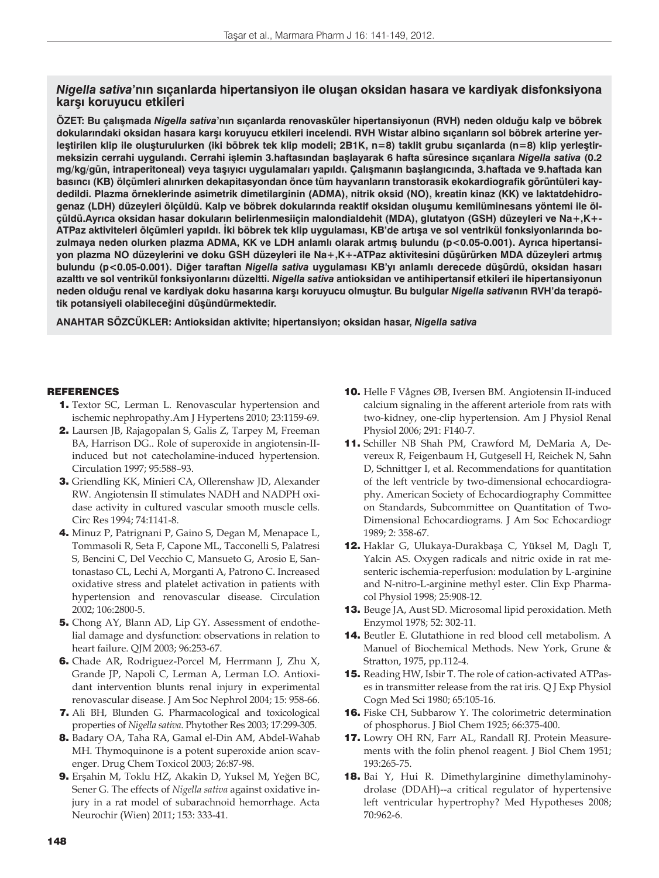# *Nigella sativa***'nın sıçanlarda hipertansiyon ile oluşan oksidan hasara ve kardiyak disfonksiyona karşı koruyucu etkileri**

**ÖZET: Bu çalışmada** *Nigella sativa***'nın sıçanlarda renovasküler hipertansiyonun (RVH) neden olduğu kalp ve böbrek dokularındaki oksidan hasara karşı koruyucu etkileri incelendi. RVH Wistar albino sıçanların sol böbrek arterine yerleştirilen klip ile oluşturulurken (iki böbrek tek klip modeli; 2B1K, n=8) taklit grubu sıçanlarda (n=8) klip yerleştirmeksizin cerrahi uygulandı. Cerrahi işlemin 3.haftasından başlayarak 6 hafta süresince sıçanlara** *Nigella sativa* **(0.2 mg/kg/gün, intraperitoneal) veya taşıyıcı uygulamaları yapıldı. Çalışmanın başlangıcında, 3.haftada ve 9.haftada kan basıncı (KB) ölçümleri alınırken dekapitasyondan önce tüm hayvanların transtorasik ekokardiografik görüntüleri kaydedildi. Plazma örneklerinde asimetrik dimetilarginin (ADMA), nitrik oksid (NO), kreatin kinaz (KK) ve laktatdehidrogenaz (LDH) düzeyleri ölçüldü. Kalp ve böbrek dokularında reaktif oksidan oluşumu kemilüminesans yöntemi ile ölçüldü.Ayrıca oksidan hasar dokuların belirlenmesiiçin malondialdehit (MDA), glutatyon (GSH) düzeyleri ve Na+,K+- ATPaz aktiviteleri ölçümleri yapıldı. İki böbrek tek klip uygulaması, KB'de artışa ve sol ventrikül fonksiyonlarında bozulmaya neden olurken plazma ADMA, KK ve LDH anlamlı olarak artmış bulundu (p<0.05-0.001). Ayrıca hipertansiyon plazma NO düzeylerini ve doku GSH düzeyleri ile Na+,K+-ATPaz aktivitesini düşürürken MDA düzeyleri artmış bulundu (p<0.05-0.001). Diğer taraftan** *Nigella sativa* **uygulaması KB'yı anlamlı derecede düşürdü, oksidan hasarı azalttı ve sol ventrikül fonksiyonlarını düzeltti.** *Nigella sativa* **antioksidan ve antihipertansif etkileri ile hipertansiyonun neden olduğu renal ve kardiyak doku hasarına karşı koruyucu olmuştur. Bu bulgular** *Nigella sativa***nın RVH'da terapötik potansiyeli olabileceğini düşündürmektedir.** 

**ANAHTAR SÖZCÜKLER: Antioksidan aktivite; hipertansiyon; oksidan hasar,** *Nigella sativa*

# **REFERENCES**

- 1. Textor SC, Lerman L. Renovascular hypertension and ischemic nephropathy.Am J Hypertens 2010; 23:1159-69.
- 2. Laursen JB, Rajagopalan S, Galis Z, Tarpey M, Freeman BA, Harrison DG.. Role of superoxide in angiotensin-IIinduced but not catecholamine-induced hypertension. Circulation 1997; 95:588–93.
- 3. Griendling KK, Minieri CA, Ollerenshaw JD, Alexander RW. Angiotensin II stimulates NADH and NADPH oxidase activity in cultured vascular smooth muscle cells. Circ Res 1994; 74:1141-8.
- 4. Minuz P, Patrignani P, Gaino S, Degan M, Menapace L, Tommasoli R, Seta F, Capone ML, Tacconelli S, Palatresi S, Bencini C, Del Vecchio C, Mansueto G, Arosio E, Santonastaso CL, Lechi A, Morganti A, Patrono C. Increased oxidative stress and platelet activation in patients with hypertension and renovascular disease. Circulation 2002; 106:2800-5.
- 5. Chong AY, Blann AD, Lip GY. Assessment of endothelial damage and dysfunction: observations in relation to heart failure. QJM 2003; 96:253-67.
- 6. Chade AR, Rodriguez-Porcel M, Herrmann J, Zhu X, Grande JP, Napoli C, Lerman A, Lerman LO. Antioxidant intervention blunts renal injury in experimental renovascular disease. J Am Soc Nephrol 2004; 15: 958-66.
- 7. Ali BH, Blunden G. Pharmacological and toxicological properties of *Nigella sativa*. Phytother Res 2003; 17:299-305.
- 8. Badary OA, Taha RA, Gamal el-Din AM, Abdel-Wahab MH. Thymoquinone is a potent superoxide anion scavenger. Drug Chem Toxicol 2003; 26:87-98.
- 9. Erşahin M, Toklu HZ, Akakin D, Yuksel M, Yeğen BC, Sener G. The effects of *Nigella sativa* against oxidative injury in a rat model of subarachnoid hemorrhage. Acta Neurochir (Wien) 2011; 153: 333-41.
- 10. Helle F Vågnes ØB, Iversen BM. Angiotensin II-induced calcium signaling in the afferent arteriole from rats with two-kidney, one-clip hypertension. Am J Physiol Renal Physiol 2006; 291: F140-7.
- 11. Schiller NB Shah PM, Crawford M, DeMaria A, Devereux R, Feigenbaum H, Gutgesell H, Reichek N, Sahn D, Schnittger I, et al. Recommendations for quantitation of the left ventricle by two-dimensional echocardiography. American Society of Echocardiography Committee on Standards, Subcommittee on Quantitation of Two-Dimensional Echocardiograms. J Am Soc Echocardiogr 1989; 2: 358-67.
- 12. Haklar G, Ulukaya-Durakbaşa C, Yüksel M, Daglı T, Yalcin AS. Oxygen radicals and nitric oxide in rat mesenteric ischemia-reperfusion: modulation by L-arginine and N-nitro-L-arginine methyl ester. Clin Exp Pharmacol Physiol 1998; 25:908-12.
- 13. Beuge JA, Aust SD. Microsomal lipid peroxidation. Meth Enzymol 1978; 52: 302-11.
- 14. Beutler E. Glutathione in red blood cell metabolism. A Manuel of Biochemical Methods. New York, Grune & Stratton, 1975, pp.112-4.
- 15. Reading HW, Isbir T. The role of cation-activated ATPases in transmitter release from the rat iris. Q J Exp Physiol Cogn Med Sci 1980; 65:105-16.
- 16. Fiske CH, Subbarow Y. The colorimetric determination of phosphorus. J Biol Chem 1925; 66:375-400.
- 17. Lowry OH RN, Farr AL, Randall RJ. Protein Measurements with the folin phenol reagent. J Biol Chem 1951; 193:265-75.
- 18. Bai Y, Hui R. Dimethylarginine dimethylaminohydrolase (DDAH)--a critical regulator of hypertensive left ventricular hypertrophy? Med Hypotheses 2008; 70:962-6.